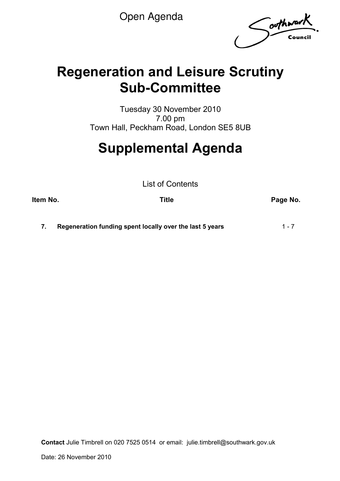Open Agenda

Southwark

## **Regeneration and Leisure Scrutiny Sub-Committee**

Tuesday 30 November 2010 7.00 pm Town Hall, Peckham Road, London SE5 8UB

# **Supplemental Agenda**

List of Contents

**Item No. CONSERVING THE PAGE NO. Trivially are proportionally example that the Page No.** 

**7. Regeneration funding spent locally over the last 5 years** 1 - 7

**Contact** Julie Timbrell on 020 7525 0514 or email: julie.timbrell@southwark.gov.uk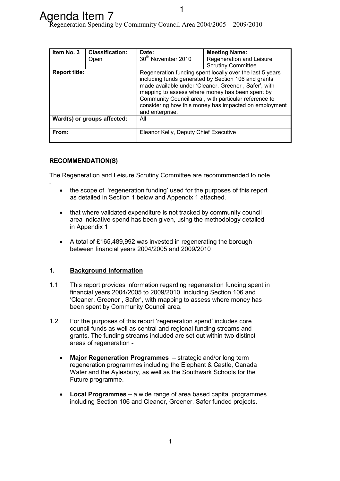| Item No. 3                                                                                                                                                                                                                                                                                                                                                                              | <b>Classification:</b>      | <b>Meeting Name:</b><br>Date:         |                           |  |  |  |  |
|-----------------------------------------------------------------------------------------------------------------------------------------------------------------------------------------------------------------------------------------------------------------------------------------------------------------------------------------------------------------------------------------|-----------------------------|---------------------------------------|---------------------------|--|--|--|--|
|                                                                                                                                                                                                                                                                                                                                                                                         | Open                        | 30 <sup>th</sup> November 2010        | Regeneration and Leisure  |  |  |  |  |
|                                                                                                                                                                                                                                                                                                                                                                                         |                             |                                       | <b>Scrutiny Committee</b> |  |  |  |  |
| <b>Report title:</b><br>Regeneration funding spent locally over the last 5 years,<br>including funds generated by Section 106 and grants<br>made available under 'Cleaner, Greener, Safer', with<br>mapping to assess where money has been spent by<br>Community Council area, with particular reference to<br>considering how this money has impacted on employment<br>and enterprise. |                             |                                       |                           |  |  |  |  |
|                                                                                                                                                                                                                                                                                                                                                                                         | Ward(s) or groups affected: | All                                   |                           |  |  |  |  |
| From:                                                                                                                                                                                                                                                                                                                                                                                   |                             | Eleanor Kelly, Deputy Chief Executive |                           |  |  |  |  |

#### **RECOMMENDATION(S)**

-

The Regeneration and Leisure Scrutiny Committee are recommmended to note

- the scope of 'regeneration funding' used for the purposes of this report as detailed in Section 1 below and Appendix 1 attached.
- that where validated expenditure is not tracked by community council area indicative spend has been given, using the methodology detailed in Appendix 1
- A total of £165,489,992 was invested in regenerating the borough between financial years 2004/2005 and 2009/2010

#### **1. Background Information**

- 1.1 This report provides information regarding regeneration funding spent in financial years 2004/2005 to 2009/2010, including Section 106 and 'Cleaner, Greener , Safer', with mapping to assess where money has been spent by Community Council area.
- 1.2 For the purposes of this report 'regeneration spend' includes core council funds as well as central and regional funding streams and grants. The funding streams included are set out within two distinct areas of regeneration -
	- **Major Regeneration Programmes**  strategic and/or long term regeneration programmes including the Elephant & Castle, Canada Water and the Aylesbury, as well as the Southwark Schools for the Future programme.
	- **Local Programmes** a wide range of area based capital programmes including Section 106 and Cleaner, Greener, Safer funded projects.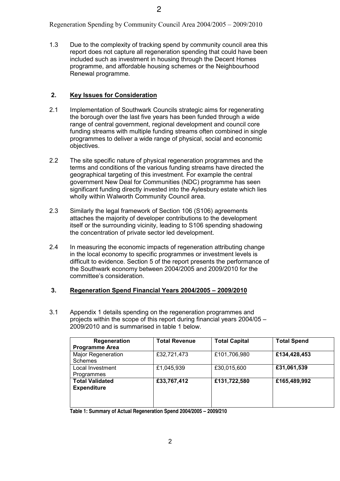1.3 Due to the complexity of tracking spend by community council area this report does not capture all regeneration spending that could have been included such as investment in housing through the Decent Homes programme, and affordable housing schemes or the Neighbourhood Renewal programme.

#### **2. Key Issues for Consideration**

- 2.1 Implementation of Southwark Councils strategic aims for regenerating the borough over the last five years has been funded through a wide range of central government, regional development and council core funding streams with multiple funding streams often combined in single programmes to deliver a wide range of physical, social and economic objectives.
- 2.2 The site specific nature of physical regeneration programmes and the terms and conditions of the various funding streams have directed the geographical targeting of this investment. For example the central government New Deal for Communities (NDC) programme has seen significant funding directly invested into the Aylesbury estate which lies wholly within Walworth Community Council area.
- 2.3 Similarly the legal framework of Section 106 (S106) agreements attaches the majority of developer contributions to the development itself or the surrounding vicinity, leading to S106 spending shadowing the concentration of private sector led development.
- 2.4 In measuring the economic impacts of regeneration attributing change in the local economy to specific programmes or investment levels is difficult to evidence. Section 5 of the report presents the performance of the Southwark economy between 2004/2005 and 2009/2010 for the committee's consideration.

#### **3. Regeneration Spend Financial Years 2004/2005 – 2009/2010**

3.1 Appendix 1 details spending on the regeneration programmes and projects within the scope of this report during financial years 2004/05 – 2009/2010 and is summarised in table 1 below.

| Regeneration<br><b>Programme Area</b>        | <b>Total Revenue</b> | <b>Total Capital</b> | <b>Total Spend</b> |
|----------------------------------------------|----------------------|----------------------|--------------------|
| <b>Major Regeneration</b><br><b>Schemes</b>  | £32,721,473          | £101,706,980         | £134,428,453       |
| Local Investment<br>Programmes               | £1,045,939           | £30,015,600          | £31,061,539        |
| <b>Total Validated</b><br><b>Expenditure</b> | £33,767,412          | £131,722,580         | £165,489,992       |
|                                              |                      |                      |                    |

**Table 1: Summary of Actual Regeneration Spend 2004/2005 – 2009/210**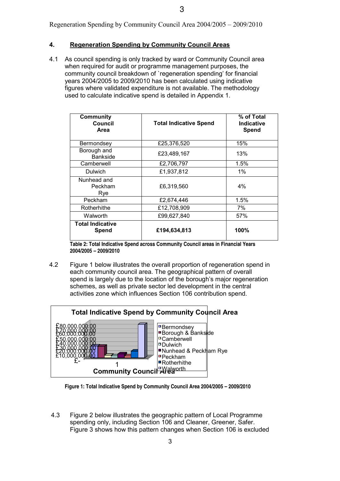#### **4. Regeneration Spending by Community Council Areas**

4.1 As council spending is only tracked by ward or Community Council area when required for audit or programme management purposes, the community council breakdown of `regeneration spending' for financial years 2004/2005 to 2009/2010 has been calculated using indicative figures where validated expenditure is not available. The methodology used to calculate indicative spend is detailed in Appendix 1.

| <b>Community</b><br>Council<br>Area | <b>Total Indicative Spend</b> | % of Total<br><b>Indicative</b><br>Spend |
|-------------------------------------|-------------------------------|------------------------------------------|
| Bermondsey                          | £25,376,520                   | 15%                                      |
| Borough and<br><b>Bankside</b>      | £23,489,167                   | 13%                                      |
| Camberwell                          | £2,706,797                    | $1.5\%$                                  |
| Dulwich                             | £1,937,812                    | 1%                                       |
| Nunhead and<br>Peckham<br>Rye       | £6,319,560                    | $4\%$                                    |
| Peckham                             | £2.674.446                    | 1.5%                                     |
| Rotherhithe                         | £12,708,909                   | 7%                                       |
| Walworth                            | £99,627,840                   | 57%                                      |
| <b>Total Indicative</b><br>Spend    | £194,634,813                  | 100%                                     |

 **Table 2: Total Indicative Spend across Community Council areas in Financial Years 2004/2005 – 2009/2010** 

4.2 Figure 1 below illustrates the overall proportion of regeneration spend in each community council area. The geographical pattern of overall spend is largely due to the location of the borough's major regeneration schemes, as well as private sector led development in the central activities zone which influences Section 106 contribution spend.



 **Figure 1: Total Indicative Spend by Community Council Area 2004/2005 – 2009/2010** 

4.3 Figure 2 below illustrates the geographic pattern of Local Programme spending only, including Section 106 and Cleaner, Greener, Safer. Figure 3 shows how this pattern changes when Section 106 is excluded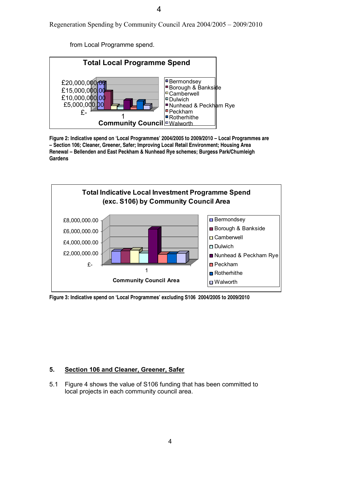4

Regeneration Spending by Community Council Area 2004/2005 – 2009/2010

from Local Programme spend.



**Figure 2: Indicative spend on 'Local Programmes' 2004/2005 to 2009/2010 – Local Programmes are – Section 106; Cleaner, Greener, Safer; Improving Local Retail Environment; Housing Area Renewal – Bellenden and East Peckham & Nunhead Rye schemes; Burgess Park/Chumleigh Gardens** 



**Figure 3: Indicative spend on 'Local Programmes' excluding S106 2004/2005 to 2009/2010** 

#### **5. Section 106 and Cleaner, Greener, Safer**

5.1 Figure 4 shows the value of S106 funding that has been committed to local projects in each community council area.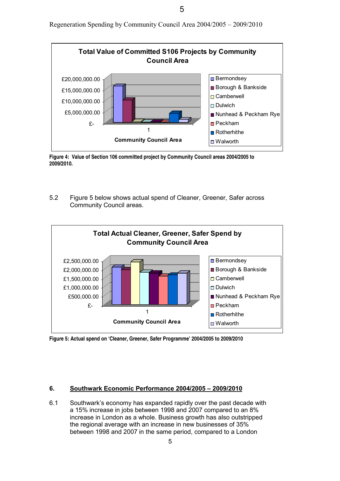5

Regeneration Spending by Community Council Area 2004/2005 – 2009/2010



**Figure 4: Value of Section 106 committed project by Community Council areas 2004/2005 to 2009/2010.** 

5.2 Figure 5 below shows actual spend of Cleaner, Greener, Safer across Community Council areas.



**Figure 5: Actual spend on 'Cleaner, Greener, Safer Programme' 2004/2005 to 2009/2010** 

#### **6. Southwark Economic Performance 2004/2005 – 2009/2010**

6.1 Southwark's economy has expanded rapidly over the past decade with a 15% increase in jobs between 1998 and 2007 compared to an 8% increase in London as a whole. Business growth has also outstripped the regional average with an increase in new businesses of 35% between 1998 and 2007 in the same period, compared to a London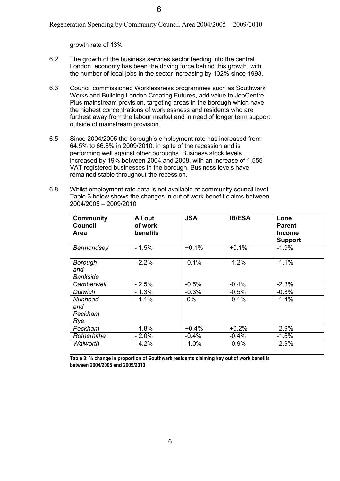growth rate of 13%

- 6.2 The growth of the business services sector feeding into the central London. economy has been the driving force behind this growth, with the number of local jobs in the sector increasing by 102% since 1998.
- 6.3 Council commissioned Worklessness programmes such as Southwark Works and Building London Creating Futures, add value to JobCentre Plus mainstream provision, targeting areas in the borough which have the highest concentrations of worklessness and residents who are furthest away from the labour market and in need of longer term support outside of mainstream provision.
- 6.5 Since 2004/2005 the borough's employment rate has increased from 64.5% to 66.8% in 2009/2010, in spite of the recession and is performing well against other boroughs. Business stock levels increased by 19% between 2004 and 2008, with an increase of 1,555 VAT registered businesses in the borough. Business levels have remained stable throughout the recession.
- 6.8 Whilst employment rate data is not available at community council level Table 3 below shows the changes in out of work benefit claims between 2004/2005 – 2009/2010

| <b>Community</b><br><b>Council</b><br><b>Area</b> | All out<br>of work<br>benefits | <b>JSA</b> | <b>IB/ESA</b> | Lone<br><b>Parent</b><br><b>Income</b><br><b>Support</b> |
|---------------------------------------------------|--------------------------------|------------|---------------|----------------------------------------------------------|
| Bermondsey                                        | $-1.5%$                        | $+0.1%$    | $+0.1%$       | $-1.9%$                                                  |
| Borough<br>and<br>Bankside                        | $-2.2%$                        | $-0.1%$    | $-1.2%$       | $-1.1%$                                                  |
| Camberwell                                        | $-2.5%$                        | $-0.5%$    | $-0.4%$       | $-2.3%$                                                  |
| <b>Dulwich</b>                                    | - 1.3%                         | $-0.3%$    | $-0.5%$       | $-0.8%$                                                  |
| Nunhead<br>and<br>Peckham<br>Rye                  | $-1.1%$                        | $0\%$      | $-0.1%$       | $-1.4%$                                                  |
| Peckham                                           | $-1.8%$                        | $+0.4%$    | $+0.2%$       | $-2.9%$                                                  |
| Rotherhithe                                       | $-2.0%$                        | $-0.4%$    | $-0.4%$       | $-1.6%$                                                  |
| Walworth                                          | - 4.2%                         | $-1.0%$    | $-0.9%$       | $-2.9%$                                                  |

**Table 3: % change in proportion of Southwark residents claiming key out of work benefits between 2004/2005 and 2009/2010**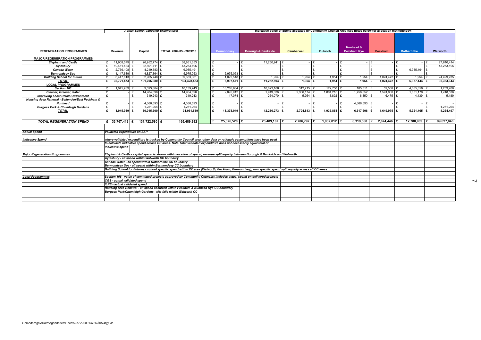|                                                                    |                                                                                                                                                      | Actual Spend (Validated Expenditure) |                                                                                                                                                          |  | Indicative Value of Spend allocated by Community Council Area (see notes below for allocation methodology) |                    |                   |                |                                 |                         |                    |                 |
|--------------------------------------------------------------------|------------------------------------------------------------------------------------------------------------------------------------------------------|--------------------------------------|----------------------------------------------------------------------------------------------------------------------------------------------------------|--|------------------------------------------------------------------------------------------------------------|--------------------|-------------------|----------------|---------------------------------|-------------------------|--------------------|-----------------|
| <b>REGENERATION PROGRAMMES</b>                                     | Revenue                                                                                                                                              | Capital                              | TOTAL 2004/05 - 2009/10                                                                                                                                  |  | <b>Bermondsey</b>                                                                                          | Borough & Bankside | <b>Camberwell</b> | <b>Dulwich</b> | Nunhead &<br><b>Peckham Rye</b> | Peckham                 | <b>Rotherhithe</b> | <b>Walworth</b> |
|                                                                    |                                                                                                                                                      |                                      |                                                                                                                                                          |  |                                                                                                            |                    |                   |                |                                 |                         |                    |                 |
| <b>MAJOR REGENERATION PROGRAMMES</b><br><b>Elephant and Castle</b> | 11,908,579 £                                                                                                                                         | 26,952,774 £                         | 38,861,353                                                                                                                                               |  |                                                                                                            | 11,250,941         |                   |                | £                               |                         |                    | 27,610,414      |
| Aylesbury                                                          | 10,451,484 £<br>£                                                                                                                                    | 32,801,711 £                         | 43,253,195                                                                                                                                               |  |                                                                                                            |                    |                   |                | £                               | £                       |                    | 43,253,195      |
| <b>Canada Water</b>                                                | $2,766,108$ £<br>$\mathbf{f}$                                                                                                                        | 4,219,383 £                          | 6,985,491                                                                                                                                                |  |                                                                                                            |                    |                   |                |                                 |                         | 6,985,491          |                 |
| <b>Bermondsey Spa</b>                                              | $1,147,689$ £                                                                                                                                        | 4,827,364 £                          | 5,975,053                                                                                                                                                |  | 5,975,053                                                                                                  |                    |                   |                |                                 |                         |                    |                 |
| <b>Building School for Future</b>                                  | 6,447,613 £                                                                                                                                          | 32,905,748 £                         | 39,353,361                                                                                                                                               |  | $1,022,518$ £                                                                                              | 1,954              | 1,954             | 1,954          | $1,954$ £                       | $1,024,472$ £           | 1,954              | 24,499,735      |
| <b>TOTAL</b>                                                       | 32,721,473 £<br>£                                                                                                                                    | 101,706,980 £                        | 134,428,453                                                                                                                                              |  | 6,997,571 £                                                                                                | 11,252,894         | $1.954$ E<br>l £  | $1.954$ E      | 1,954 $E$                       | $1,024,472$ £           | 6,987,444          | 95,363,343      |
| <b>LOCAL PROGRAMMES</b>                                            |                                                                                                                                                      |                                      |                                                                                                                                                          |  |                                                                                                            |                    |                   |                |                                 |                         |                    |                 |
| Section 106                                                        | $1,045,939$ £<br>$\mathbf{f}$                                                                                                                        | $9,093,804$ £                        | 10,139,743                                                                                                                                               |  | 16,265,964 £                                                                                               | $10,023,166$ £     | $312,715$ £       | $122,750$ £    | $185,511$ £                     | $52,500$ £              | 4,065,856 $E$      | 1,259,208       |
| Cleaner, Greener, Safer                                            | £                                                                                                                                                    | 14,984,696<br>£                      | 14,984,696                                                                                                                                               |  | $2,095,912$ £                                                                                              | 1,949,036          | 2,386,174 £       | 1,804,216 £    | $1,758,652$ £                   | 1,591,000 £             | $1,651,170$ £      | 1,748,536       |
| <b>Improving Local Retail Environment</b>                          | £                                                                                                                                                    | £<br>$319,243$ £                     | 319,243                                                                                                                                                  |  | $17,074$ £                                                                                                 | 264,070 £          | $5,954$ £         | $8,892$ £      | $6,850$ £                       | $6,475$ £               | $4,439$ £          | 5,489           |
| Housing Area Renewal - Bellenden/East Peckham &                    |                                                                                                                                                      |                                      |                                                                                                                                                          |  |                                                                                                            |                    |                   |                |                                 |                         |                    |                 |
| Nunhead                                                            | £                                                                                                                                                    | 4,366,593 £                          | 4,366,593                                                                                                                                                |  |                                                                                                            |                    |                   |                | 4,366,593 £<br>£                |                         |                    |                 |
| <b>Burgess Park &amp; Chumleigh Gardens</b>                        | $\mathbf{f}$                                                                                                                                         | $1,251,264$ £<br>$\mathbf{f}$        | 1,251,264                                                                                                                                                |  |                                                                                                            |                    |                   |                | £                               |                         |                    | 1,251,264       |
| <b>TOTAL</b>                                                       | £<br>$1,045,939$ £                                                                                                                                   | $30,015,600$ £                       | 31,061,539                                                                                                                                               |  | $18,378,949$ E                                                                                             | $12,236,273$ £     | $2,704,843$ £     | $1,935,858$ E  | 6,317,606   £                   | $1,649,975$ £           | $5,721,465$ £      | 4,264,497       |
|                                                                    |                                                                                                                                                      |                                      |                                                                                                                                                          |  |                                                                                                            |                    |                   |                |                                 |                         |                    |                 |
| <b>TOTAL REGENERATION SPEND</b>                                    | £ 33,767,412 $\left  \right.$ £ 131,722,580 $\left  \right.$ £                                                                                       |                                      | 165,489,992                                                                                                                                              |  | 25,376,520 £                                                                                               | 23,489,167 E       | $2,706,797$ £     | $1,937,812$ £  |                                 | 6,319,560 £ 2,674,446 £ | 12,708,909 E       | 99,627,840      |
|                                                                    |                                                                                                                                                      |                                      |                                                                                                                                                          |  |                                                                                                            |                    |                   |                |                                 |                         |                    |                 |
| <b>Actual Spend</b>                                                | Validated expenditure on SAP                                                                                                                         |                                      |                                                                                                                                                          |  |                                                                                                            |                    |                   |                |                                 |                         |                    |                 |
| <b>Indicative Spend</b>                                            |                                                                                                                                                      |                                      | where validated expenditure is tracked by Community Council area, other data or rationale assumptions have been used                                     |  |                                                                                                            |                    |                   |                |                                 |                         |                    |                 |
|                                                                    |                                                                                                                                                      |                                      | to calculate indicative spend across CC areas. Note Total validated expenditure does not necessarily equal total of                                      |  |                                                                                                            |                    |                   |                |                                 |                         |                    |                 |
|                                                                    | indicative spend                                                                                                                                     |                                      |                                                                                                                                                          |  |                                                                                                            |                    |                   |                |                                 |                         |                    |                 |
| <b>Maior Regeneration Programmes</b>                               |                                                                                                                                                      |                                      | Elephant & Castle - capital spend is shown within location of spend; revenue split equally between Borough & Bankside and Walworth                       |  |                                                                                                            |                    |                   |                |                                 |                         |                    |                 |
|                                                                    | Aylesbury - all spend within Walworth CC boundary                                                                                                    |                                      |                                                                                                                                                          |  |                                                                                                            |                    |                   |                |                                 |                         |                    |                 |
|                                                                    |                                                                                                                                                      |                                      | Canada Water - all spend within Rotherhithe CC boundary                                                                                                  |  |                                                                                                            |                    |                   |                |                                 |                         |                    |                 |
|                                                                    |                                                                                                                                                      |                                      | Bermondsey Spa - all spend within Bermondsey CC boundary                                                                                                 |  |                                                                                                            |                    |                   |                |                                 |                         |                    |                 |
|                                                                    |                                                                                                                                                      |                                      | Building School for Futures - school specific spend within CC area (Walworth, Peckham, Bermondsey); non specific spend split equally across all CC areas |  |                                                                                                            |                    |                   |                |                                 |                         |                    |                 |
| <b>Local Programmes</b>                                            |                                                                                                                                                      |                                      | Section 106 - value of committed projects approved by Community Councils; includes actual spend on delivered projects                                    |  |                                                                                                            |                    |                   |                |                                 |                         |                    |                 |
|                                                                    | CGS - actual validated spend                                                                                                                         |                                      |                                                                                                                                                          |  |                                                                                                            |                    |                   |                |                                 |                         |                    |                 |
|                                                                    | <b>ILRE</b> - actual validated spend                                                                                                                 |                                      |                                                                                                                                                          |  |                                                                                                            |                    |                   |                |                                 |                         |                    |                 |
|                                                                    | Housing Area Renewal - all spend occurred within Peckham & Nunhead Rye CC boundary<br>Burgess Park/Chumleigh Gardens - site falls within Walworth CC |                                      |                                                                                                                                                          |  |                                                                                                            |                    |                   |                |                                 |                         |                    |                 |
|                                                                    |                                                                                                                                                      |                                      |                                                                                                                                                          |  |                                                                                                            |                    |                   |                |                                 |                         |                    |                 |
|                                                                    |                                                                                                                                                      |                                      |                                                                                                                                                          |  |                                                                                                            |                    |                   |                |                                 |                         |                    |                 |
|                                                                    |                                                                                                                                                      |                                      |                                                                                                                                                          |  |                                                                                                            |                    |                   |                |                                 |                         |                    |                 |

 $\overline{\phantom{0}}$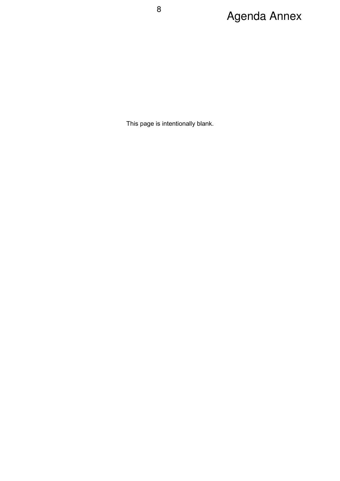# 8<br> **Agenda Annex**

This page is intentionally blank.